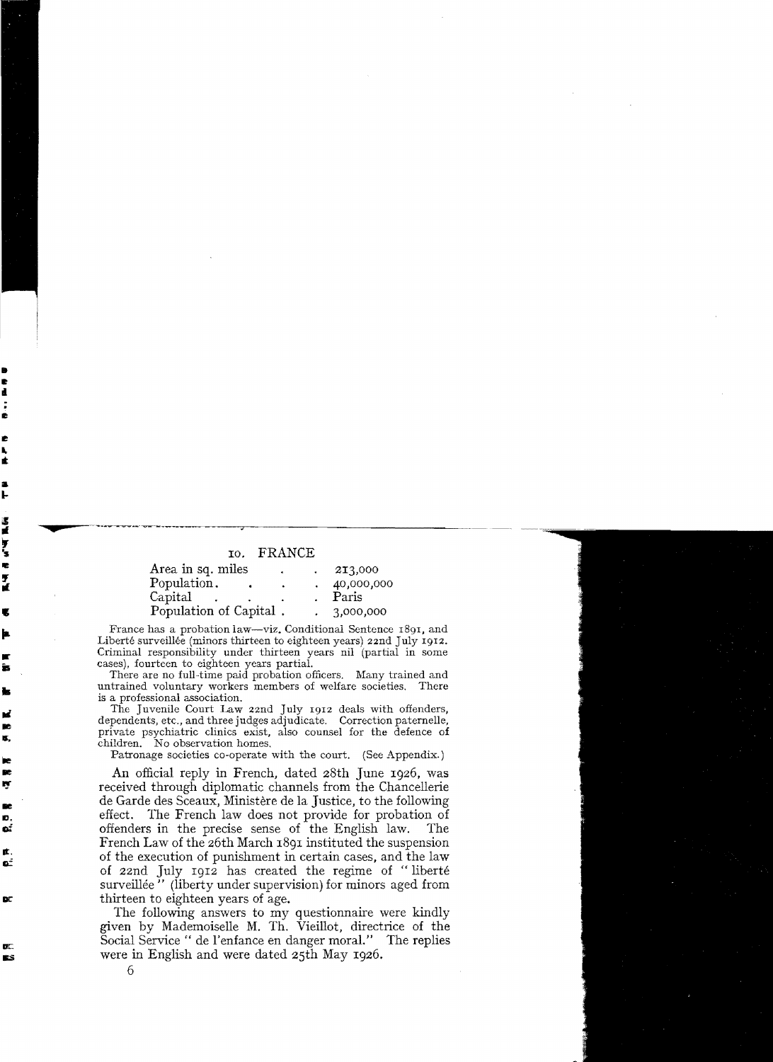## **'s** 10. FRANCE

| Area in sq. miles      |  | 213,000    |
|------------------------|--|------------|
| Population.            |  | 40,000,000 |
| Capital                |  | Paris      |
| Population of Capital. |  | 3,000,000  |

France has a probation law—viz. Conditional Sentence 1891, and<br>Liberté surveillée (minors thirteen to eighteen years) 22nd July 1912.<br>Criminal responsibility under thirteen years nil (partial in some<br>case) fourteen to eigh Liberté surveillée (minors thirteen to eighteen years) 22nd July I9I2.

cases), fourteen to eighteen years partial.<br>There are no full-time paid probation officers. Many trained and<br>untrained voluntary workers members of welfare societies. There untrained voluntary workers members of welfare societies. is a professional association.

The Juvenile Court Law 22nd July I912 deals with offenders, dependents, etc., and three judges adjudicate. Correction paternelle, private psychiatric clinics exist, also counsel for the defence of children. No observation homes.

Patronage societies co-operate with the court. (See Appendix.)

An official reply in French, dated 28th June I926, was received through diplomatie channels from the Chancellerie de Garde des Sceaux, Ministère de la Justice, to the following effect. The French law does not provide for probation of offenders in the precise sense of the English law. The French Law of the 26th March 1891 instituted the suspension of the execution of punishment in certain cases, and the law of 22nd July 1912 has created the regime of "liberté surveillée" (liberty under supervision) for minors aged from thirteen to eighteen years of age.

The following answers to my questionnaire were kindly given by Mademoiselle M. Th. Vieillot, directrice of the Social Service " de l'enfance en danger moral." The replies were in English and were dated 25th May 1926.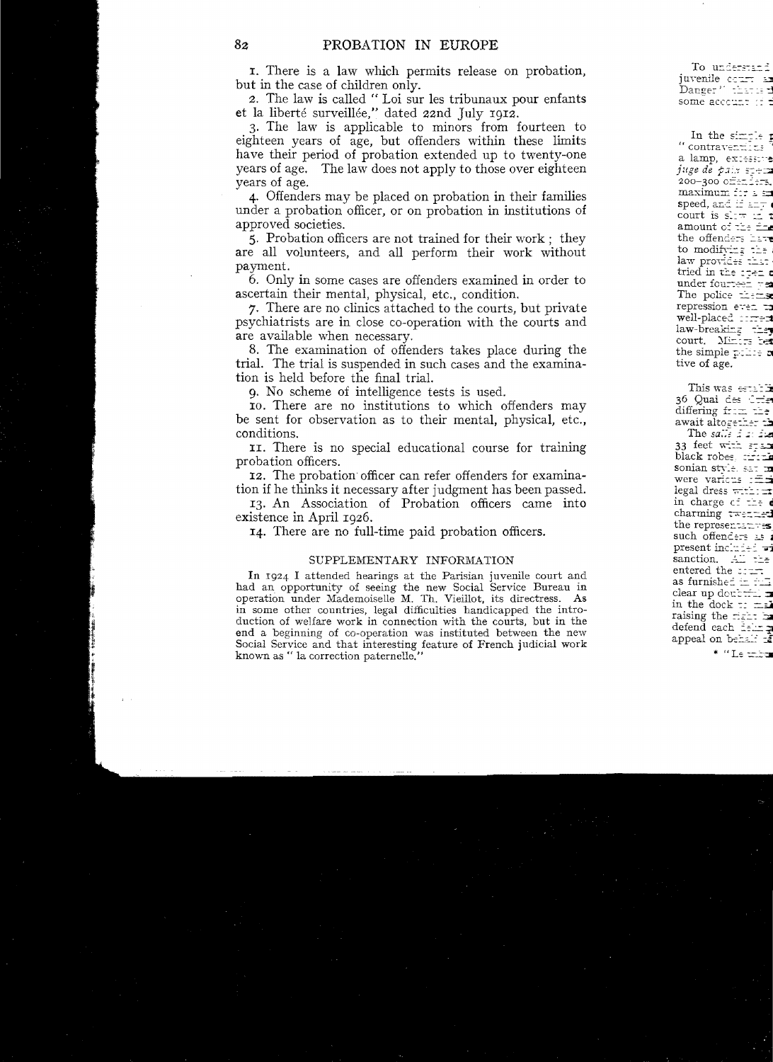I. There is a law which permits release on probation, but in the case of children only.

*z.* The law is called " Loi sur les tribunaux pour enfants et la liberté surveillée," dated zznd July *19Iz.* 

3. The law is applicable to minors from fourteen to eighteen years of age, but offenders within these limits have their period of probation extended up to twenty-one years of age. The law does not apply to those over eighteen years of age.

4. Offenders may be placed on probation in their families under a probation officer, or on probation in institutions of approved societies.

5. Probation officers are not trained for their work; they are all volunteers, and all perform their work without payment.

6. Only in some cases are offenders examined in order to ascertain their mental, physical, etc., condition.

7. There are no clinics attached to the courts, but private psychiatrists are in close co-operation with the courts and are available when necessary.

8. The examination of offenders takes place during the trial. The trial is suspended in such cases and the examination is held before the final trial.

9. No scheme of intelligence tests is

*Ia.* There are no institutions to which offenders may be sent for observation as to their mental, physical, etc., conditions.

II. There is no special educational course for training probation officers.

12. The probation officer can refer offenders for examination if he thinks it necessary after judgment has been passed.

13. An Association of Probation officers came into existence in April 1926.

14. There are no full-time paid probation officers.

# SUPPLEMENTARY INFORMATION

In 1924 I attended hearings at the Parisian juvenile court and had an opportunity of seeing the new Social Service Bureau in operation under Mademoiselle M. Th. Vieillot, its directress. As in some other countries, legal difficulties handicapped the introduction of welfare work in connection with the courts, but in the end a beginning of co-operation was instituted between the new Social Service and that interesting feature of French judicial work known as " la correction paternelle."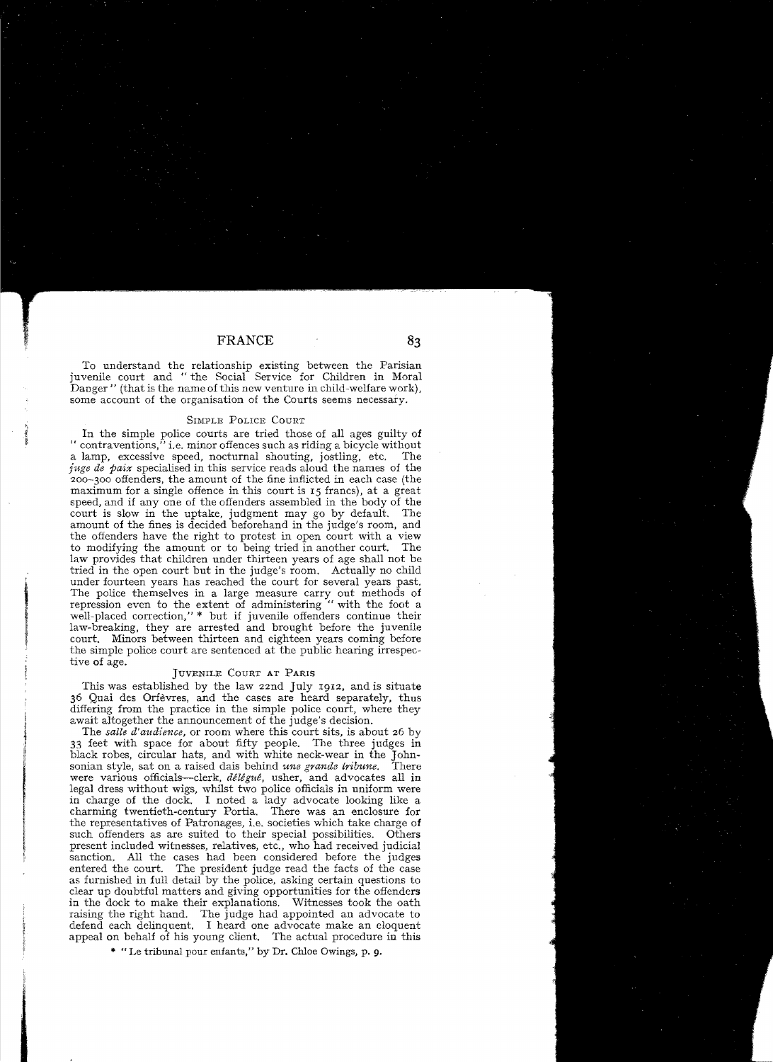To understand the relationship existing between the Parisian juvenile court and "the Social Service for Children in Moral Danger" (that is the name of this new venture in child-welfare work), some account of the organisation of the Courts seems necessary.

#### SIMPLE POLICE COURT

In the simple police courts are tried those of all ages guilty of " contraventions," i.e. minor offences such as riding a bicycle without a lamp, excessive speed, nocturnal shouting, iostling, etc. The a lamp, excessive speed, nocturnal shouting, jostling, etc. *juge de paix* specialised in this service reads aloud the names of the 200-300 offenders, the amount of the fine inflicted in each case (the maximum for a single offence in this court is 15 francs), at a great speed, and if any one of the offenders assembled in the body of the court is slow in the uptake, judgment may go by default. The amount of the fines is decided beforehand in the judge's room, and the offenders have the right to protest in open court with a view to modifying the amount or to being tried in another court. The law provides that children under thirteen years of age shall not be tried in the open court but in the judge's room. Actually no child under fourteen years has reached the court for several years past. The police themselves in a large measure carry out methods of repression even to the extent of administering "with the foot a well-placed correction," \* but if juvenile offenders continue their law-breaking, they are arrested and brought before the juvenile court. Minors between thirteen and eighteen years coming before the simple police court are sentenced at the public hearing irrespective of age.

### JUVENILE COURT AT PARIS

This was established by the law 22nd July 1912, and is situate 36 Quai des Orfèvres, and the cases are heard separately, thus differing from the practice in the simple police court, where they await altogether the announcement of the judge's decision.

The *salle d'audience,* or room where this court sits, is about 26 by 33 feet with space for about fifty people. The three judges in black robes, circular hats, and with white neck-wear in the John-sonian style, sat on a raised dais behind *une grande tribune*. There sonian style, sat on a raised dais behind *une grande tribune*. were various officials--clerk, *délégué,* usher, and advocates all in legal dress without wigs, whilst two police officials in uniform were in charge of the dock. I noted a lady advocate looking like a charming twentieth-century Portia. There was an enclosure for the representatives of Patronages, i.e. societies which take charge of such offenders as are suited to their special possibilities. Others present included witnesses, relatives, etc., who had received judicial sanction. All the cases had been considered before the judges entered the court. The president judge read the facts of the case as furnisbed in fulI detail by the police, asking certain questions to clear up doubtful matters and giving opportunities for the offenders in the doek to make their explanations. Witnesses took the oath raising the right hand. The judge had appointed an advocate to defend each delinquent. I heard one advocate make an eloquent appeal on behalf of his young client. The actual procedure in this

\* "Le tribunal pour enfants," by Dr. Chloe Owings, p. 9.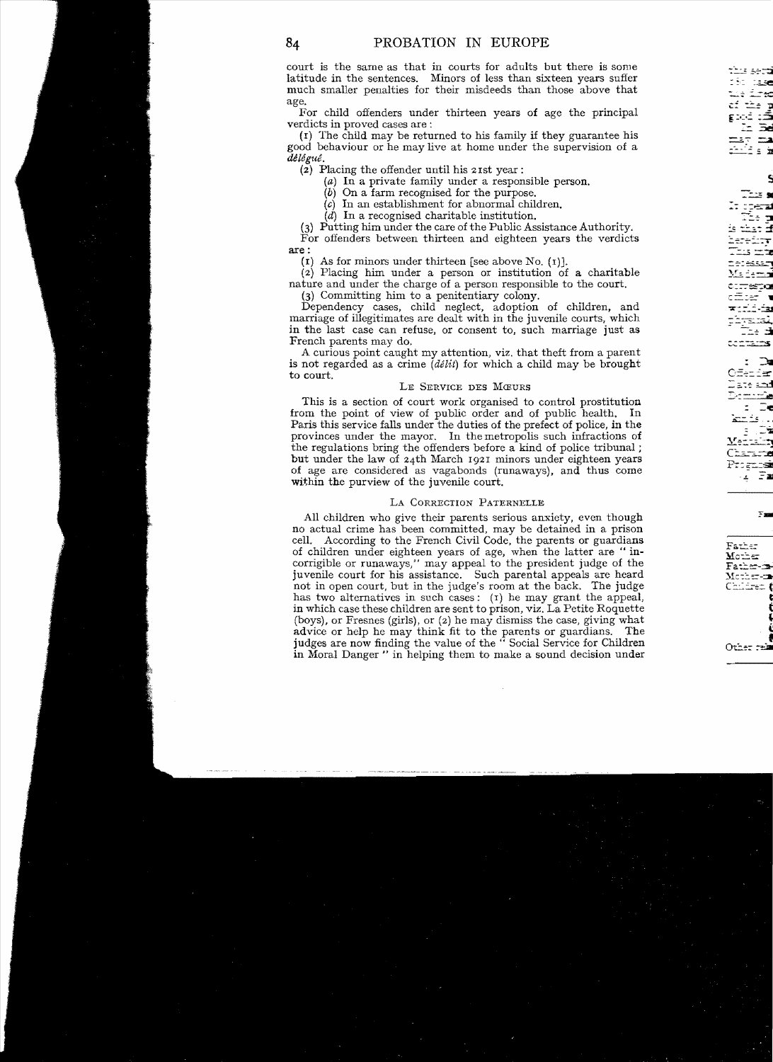court is the same as that in courts for adults but there is some latitude in the sentences. Minors of less than sixteen years suffer much smaller penalties for their misdeeds than those above that age.

For child offenders under thirteen years of age the principal verdicts in proved cases are:

(1) The child may be returned to his family if they guarantee his good behaviour or he may live at home under the supervision of a délégué.

(2) Placing the offender until his  $2$  is vear:

 $(a)$  In a private family under a responsible person.

 $(b)$  On a farm recognised for the purpose.

 $(c)$  In an establishment for abnormal children.

 $(d)$  In a recognised charitable institution.

(3) Putting him under the care of the Public Assistance Authority.

For offenders between thirteen and eighteen years the verdicts are:

(1) As for minors under thirteen [see above No. (1)].

(2) Placing him under a person or institution of a charitable nature and under the charge of a person responsible to the court.

(3) Committing him to a penitentiary colony.

Dependency cases, child neglect, adoption of children, and marriage of illegitimates are dealt with in the juvenile courts, which in the last case can refuse, or consent to, such marriage just as French parents may do.

A curious point caught my attention, viz. that the ft from a parent is not regarded as a crime  $(délit)$  for which a child may be brought to court.

### LE SERVICE DES MŒURS

This is a section of court work organised to control prostitution from the point of view of public order and of public health. In Paris this service falls under the duties of the prefect of police, in the provinces under the mayor. In the metropolis such infractions of the regulations bring the offenders before a kind of police tribunal; but under the law of 24th March 1921 minors under eighteen years of age are considered as vagabonds (runaways), and thus come within the purview of the juvenile court.

#### LA CORRECTION PATERNELLE

All children who give their parents serious anxiety, even though no actual crime has been committed, may be detained in a prison cell. According to the French Civil Code, the parents or guardians of children under eighteen years of age, when the latter are "incorrigible or runaways," may appeal to the president judge of the juvenile court for his assistance. Such parental appeals are heard not in open court, but in the judge's room at the back. The judge has two alternatives in such cases: (1) he may grant the appeal, in which case these children are sent to prison, viz. La Petite Roquette (boys), or Fresnes (girls), or (2) he may dismiss the case, giving what advice or help he may think fit to the parents or guardians. The judges are now finding the value of the "Social Service for Children in Moral Danger" in helping them to make a sound decision under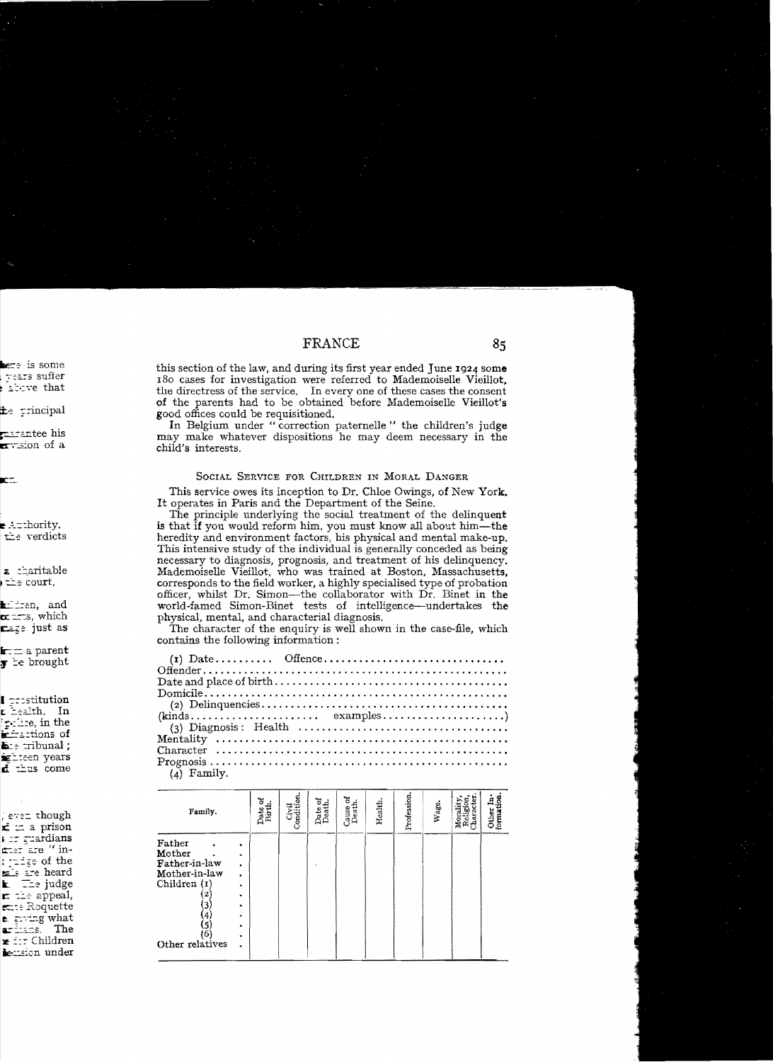this section of the law, and during its first year ended June 1924 some 180 cases for investigation were referred to Mademoiselle Vieillot. the directress of the service. In every one of these cases the consent of the parents had to be obtained before Mademoiselle Vieillot's good offices could be requisitioned.

In Belgium under "correction paternelle" the children's judge may make whatever dispositions he may deem necessary in the child's interests.

#### SOCIAL SERVICE FOR CHILDREN IN MORAL DANGER

This service owes its inception to Dr. Chloe Owings, of New York. It operates in Paris and the Department of the Seine.

The principle underlying the social treatment of the delinquent is that if you would reform him, you must know all about him—the heredity and environment factors, his physical and mental make-up. This intensive study of the individual is generally conceded as being necessary to diagnosis, prognosis, and treatment of his delinquency. Mademoiselle Vieillot, who was trained at Boston, Massachusetts, corresponds to the field worker, a highly specialised type of probation officer, whilst Dr. Simon—the collaborator with Dr. Binet in the world-famed Simon-Binet tests of intelligence-undertakes the physical, mental, and characterial diagnosis.

The character of the enquiry is well shown in the case-file, which contains the following information:

| $(kinds \ldots \ldots \ldots \ldots \ldots \ldots \ldots \ldots \ldots \ldots \ldots \ldots \ldots)$ |  |  |
|------------------------------------------------------------------------------------------------------|--|--|
|                                                                                                      |  |  |
|                                                                                                      |  |  |
|                                                                                                      |  |  |
|                                                                                                      |  |  |

 $(4)$  Family.

| Family.                                                                                                                                      | ō<br>Date o<br>Birth | ៜ<br>Civil<br>Condition | Date<br>Deat | ৳<br>Cause o<br>Death. | Health. | Profession | Wage. | Religion,<br>Character<br>Morality | formation<br>Ė,<br>Other |
|----------------------------------------------------------------------------------------------------------------------------------------------|----------------------|-------------------------|--------------|------------------------|---------|------------|-------|------------------------------------|--------------------------|
| Father<br>Mother<br>$\bullet$<br>Father-in-law<br>٠<br>Mother-in-law<br>Children (1)<br>٠<br>2<br>٠<br>3<br>٠<br>(4)<br>(5)<br>(6)<br>٠<br>٠ |                      |                         |              |                        |         |            |       |                                    |                          |
| Other relatives                                                                                                                              |                      |                         |              |                        |         |            |       |                                    |                          |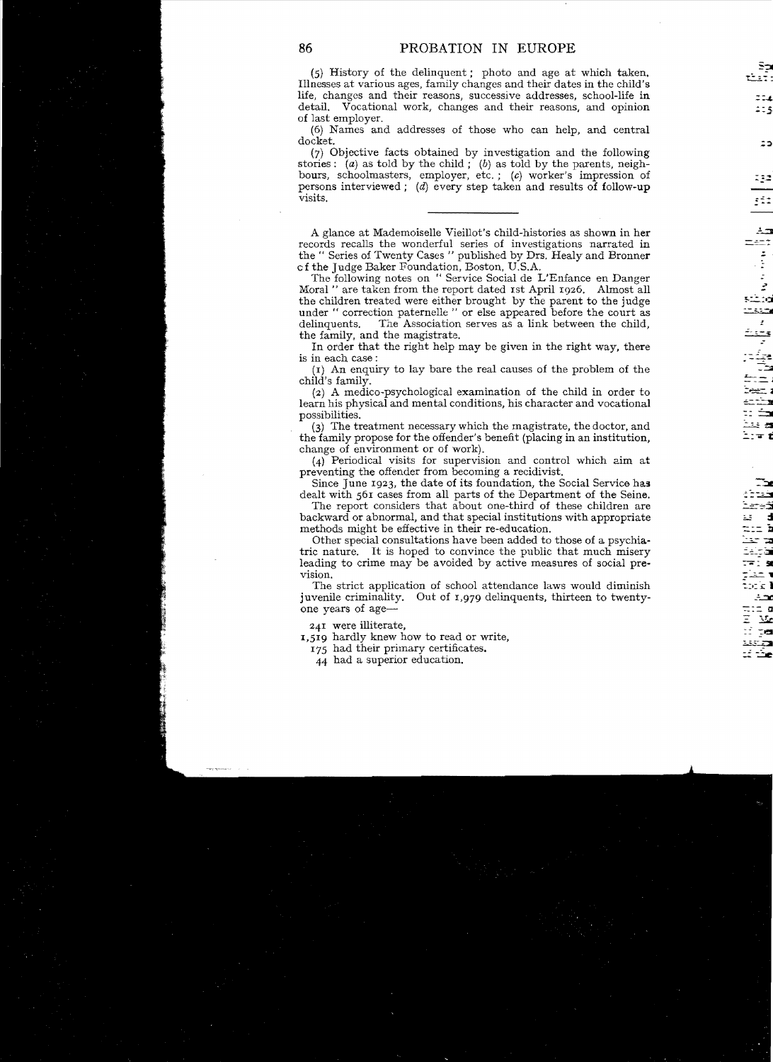(5) History of the delinquent; photo and age at which taken. Illnesses at various ages, family changes and their dates in the child's life, changes and their reasons, successive addresses, school-life in detail. Vocational work, changes and their reasons, and opinion of last employer.

(6) Names and addresses of those who can help, and central doeket. :::1

(7) Objective facts obtained by investigation and the following stories: (a) as told by the child; (b) as told by the parents, neighbours, schoolmasters, employer, etc.; (c) worker's impression of persons interviewed; (d) every step taken and results of follow-up visits. *x* 

A **\_.1....::1** glance at Mademoiselle Vieillot's child-histories as shown in her records recalls the wonderful series of investigations narrated in the " Series of Twenty Cases " published by Drs. Healy and Bronner cf the Judge Baker Foundation, Boston, U.S.A.

The following notes on " Service Social de L'Enfance en Danger Moral " are taken from the report dated 1st April 1926. Almost all the children treated were either brought by the parent to the judge under " correction paternelle " or else appeared before the court as delinquents. The Association serves as a link between the child, The Association serves as a link between the child, the family, and the magistrate.

In order that the right help may be given in the right way, there

 $(r)$  An enquiry to lay bare the real causes of the problem of the child's family.

 $(2)$  A medico-psychological examination of the child in order to learn his physical and mental conditions, his character and vocational possibilities. The contract of the contract of the contract of the contract of the contract of the contract of

 $(3)$  The treatment necessary which the magistrate, the doctor, and the family propose for the offender's benefit (placing in an institution, change of environment or of work),

(4) Periodical visits for supervision and control which aim at preventing the offender from becoming a recidivist.

Since June  $1923$ , the date of its foundation, the Social Service has dealt with 561 cases from all parts of the Department of the Seine.

The report considers that about one-third of these children are backward or abnormal, and that special institutions with appropriate methods might be effective in their re-education.

Other special consultations have been added to those of a psychia-Using special consultations have been added to chose of a psychiatric nature. It is hoped to convince the public that much misery leading to crime may be avoided by active measures of social preleading to crime may be avoided by active measures of social prevision.

The strict application of school attendance laws would diminish juvenile criminality. Out of 1,979 delinquents, thirteen to twentyone years of age-

 $=241$  were illiterate,  $=1,519$  hardly knew how to read or write,

175 had their primary certificates.

44 had a superior education.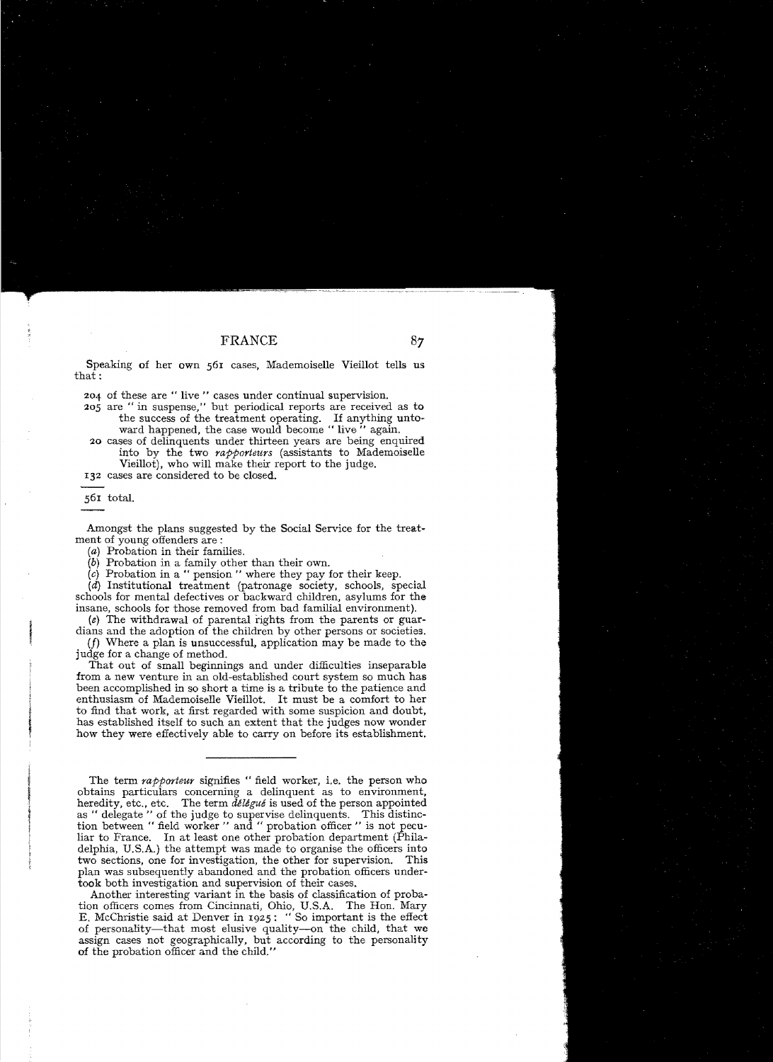Speaking of her own 561 cases, Mademoiselle Vieillot tells us that:

204 of these are" live" cases under continual supervision.

- 205 are " in suspense," but periodical reports are received as to the success of the treatment operating. If anything untoward happened, the case would become " live" again.
- 20 cases of delinquents under thirteen years are being enquired into by the two *rapporteurs* (assistants to Mademoiselle Vieillot), who will make their report to the judge.

I32 cases are considered to be closed.

56I total.

Amongst the plans suggested by the Social Service for the treatment of young offenders are:

(a) Probation in their families.

 $(b)$  Probation in a family other than their own.

 $(c)$  Probation in a " pension " where they pay for their keep.

 $(d)$  Institutional treatment (patronage society, schools, special schools for mental defectives or backward children, asylurns for the insane, schools for those removed from bad familial environment).

 $(e)$  The withdrawal of parental rights from the parents or guardians and the adoption of the children by other persons or societies.

(f) Where a plan is unsuccessful, application may be made to the judge for a change of method.

That out of small beginnings and under difficulties inseparable from a new venture in an old-established court system so much has been accomplished in so short a time is a tribute to the patience and enthusiasm of Mademoiselle Vieillot. It must be a comfort to her to find that work, at first regarded with some suspicion and doubt, has established itself to such an extent that the judges now wonder how they were effectively able to carry on before its establishment.

The term *rapporteur* signifies " field worker, i.e. the person who obtains particulars concerning a delinquent as to environment, heredity, etc., etc. The term  $d\ell \ell g u \ell$  is used of the person appointed. as " delegate " of the judge to supervise delinquents. This distinction between " field worker " and " probation officer " is not peculiar to France. In at least one other probation department (Philadelphia, U.S.A.) the attempt was made to organise the officers into two sections, one for investigation, the other for supervision. This plan was subsequently abandoned and the probation officers undertook both investigation and supervision of their cases.

Another interesting variant in the basis of classification of probation officers comes from Cincinnati, Ohio, U.S.A. The Hon. Mary E. McChristie said at Denver in I925: "So important is the effect of personality-that most elusive quality--on the child, that we assign cases not geographically, but according to the personality of the probation officer and the child."